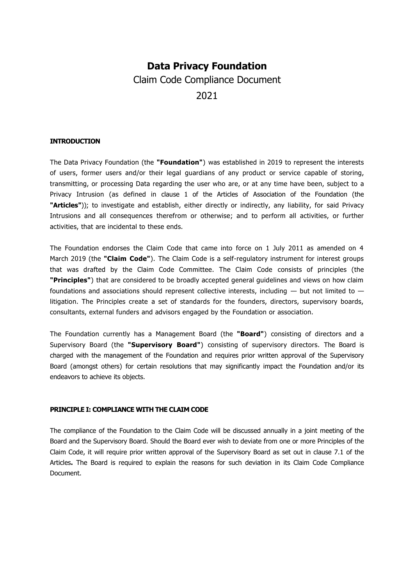# **Data Privacy Foundation**  Claim Code Compliance Document 2021

## **INTRODUCTION**

The Data Privacy Foundation (the **"Foundation"**) was established in 2019 to represent the interests of users, former users and/or their legal guardians of any product or service capable of storing, transmitting, or processing Data regarding the user who are, or at any time have been, subject to a Privacy Intrusion (as defined in clause 1 of the Articles of Association of the Foundation (the **"Articles"**)); to investigate and establish, either directly or indirectly, any liability, for said Privacy Intrusions and all consequences therefrom or otherwise; and to perform all activities, or further activities, that are incidental to these ends.

The Foundation endorses the Claim Code that came into force on 1 July 2011 as amended on 4 March 2019 (the **"Claim Code"**). The Claim Code is a self-regulatory instrument for interest groups that was drafted by the Claim Code Committee. The Claim Code consists of principles (the **"Principles"**) that are considered to be broadly accepted general guidelines and views on how claim foundations and associations should represent collective interests, including — but not limited to litigation. The Principles create a set of standards for the founders, directors, supervisory boards, consultants, external funders and advisors engaged by the Foundation or association.

The Foundation currently has a Management Board (the **"Board"**) consisting of directors and a Supervisory Board (the **"Supervisory Board"**) consisting of supervisory directors. The Board is charged with the management of the Foundation and requires prior written approval of the Supervisory Board (amongst others) for certain resolutions that may significantly impact the Foundation and/or its endeavors to achieve its objects.

#### **PRINCIPLE I: COMPLIANCE WITH THE CLAIM CODE**

The compliance of the Foundation to the Claim Code will be discussed annually in a joint meeting of the Board and the Supervisory Board. Should the Board ever wish to deviate from one or more Principles of the Claim Code, it will require prior written approval of the Supervisory Board as set out in clause 7.1 of the Articles**.** The Board is required to explain the reasons for such deviation in its Claim Code Compliance Document.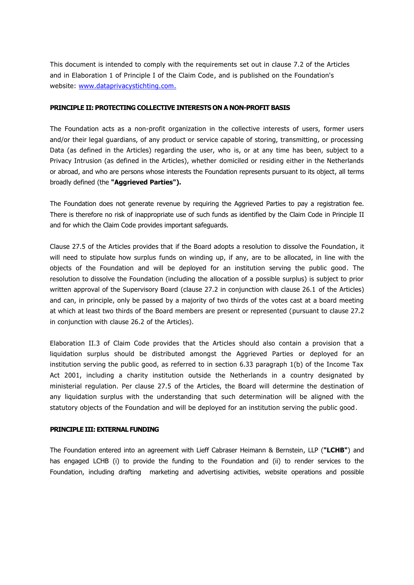This document is intended to comply with the requirements set out in clause 7.2 of the Articles and in Elaboration 1 of Principle I of the Claim Code, and is published on the Foundation's website: [www.dataprivacystichting.com.](http://www.dataprivacystichting.com/)

#### **PRINCIPLE II: PROTECTING COLLECTIVE INTERESTS ON A NON-PROFIT BASIS**

The Foundation acts as a non-profit organization in the collective interests of users, former users and/or their legal guardians, of any product or service capable of storing, transmitting, or processing Data (as defined in the Articles) regarding the user, who is, or at any time has been, subject to a Privacy Intrusion (as defined in the Articles), whether domiciled or residing either in the Netherlands or abroad, and who are persons whose interests the Foundation represents pursuant to its object, all terms broadly defined (the **"Aggrieved Parties").**

The Foundation does not generate revenue by requiring the Aggrieved Parties to pay a registration fee. There is therefore no risk of inappropriate use of such funds as identified by the Claim Code in Principle II and for which the Claim Code provides important safeguards.

Clause 27.5 of the Articles provides that if the Board adopts a resolution to dissolve the Foundation, it will need to stipulate how surplus funds on winding up, if any, are to be allocated, in line with the objects of the Foundation and will be deployed for an institution serving the public good. The resolution to dissolve the Foundation (including the allocation of a possible surplus) is subject to prior written approval of the Supervisory Board (clause 27.2 in conjunction with clause 26.1 of the Articles) and can, in principle, only be passed by a majority of two thirds of the votes cast at a board meeting at which at least two thirds of the Board members are present or represented (pursuant to clause 27.2 in conjunction with clause 26.2 of the Articles).

Elaboration II.3 of Claim Code provides that the Articles should also contain a provision that a liquidation surplus should be distributed amongst the Aggrieved Parties or deployed for an institution serving the public good, as referred to in section 6.33 paragraph 1(b) of the Income Tax Act 2001, including a charity institution outside the Netherlands in a country designated by ministerial regulation. Per clause 27.5 of the Articles, the Board will determine the destination of any liquidation surplus with the understanding that such determination will be aligned with the statutory objects of the Foundation and will be deployed for an institution serving the public good.

## **PRINCIPLE III: EXTERNAL FUNDING**

The Foundation entered into an agreement with Lieff Cabraser Heimann & Bernstein, LLP (**"LCHB"**) and has engaged LCHB (i) to provide the funding to the Foundation and (ii) to render services to the Foundation, including drafting marketing and advertising activities, website operations and possible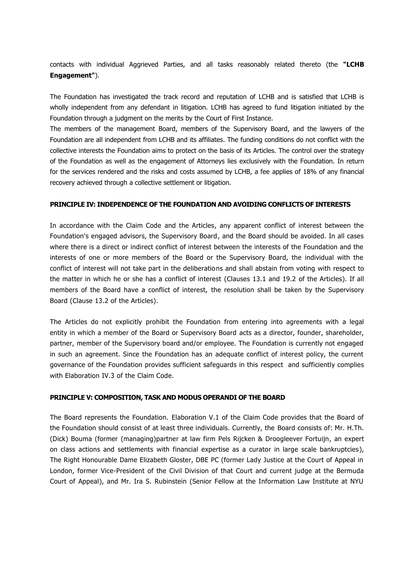contacts with individual Aggrieved Parties, and all tasks reasonably related thereto (the **"LCHB Engagement"**).

The Foundation has investigated the track record and reputation of LCHB and is satisfied that LCHB is wholly independent from any defendant in litigation. LCHB has agreed to fund litigation initiated by the Foundation through a judgment on the merits by the Court of First Instance.

The members of the management Board, members of the Supervisory Board, and the lawyers of the Foundation are all independent from LCHB and its affiliates. The funding conditions do not conflict with the collective interests the Foundation aims to protect on the basis of its Articles. The control over the strategy of the Foundation as well as the engagement of Attorneys lies exclusively with the Foundation. In return for the services rendered and the risks and costs assumed by LCHB, a fee applies of 18% of any financial recovery achieved through a collective settlement or litigation.

## **PRINCIPLE IV: INDEPENDENCE OF THE FOUNDATION AND AVOIDING CONFLICTS OF INTERESTS**

In accordance with the Claim Code and the Articles, any apparent conflict of interest between the Foundation's engaged advisors, the Supervisory Board, and the Board should be avoided. In all cases where there is a direct or indirect conflict of interest between the interests of the Foundation and the interests of one or more members of the Board or the Supervisory Board, the individual with the conflict of interest will not take part in the deliberations and shall abstain from voting with respect to the matter in which he or she has a conflict of interest (Clauses 13.1 and 19.2 of the Articles). If all members of the Board have a conflict of interest, the resolution shall be taken by the Supervisory Board (Clause 13.2 of the Articles).

The Articles do not explicitly prohibit the Foundation from entering into agreements with a legal entity in which a member of the Board or Supervisory Board acts as a director, founder, shareholder, partner, member of the Supervisory board and/or employee. The Foundation is currently not engaged in such an agreement. Since the Foundation has an adequate conflict of interest policy, the current governance of the Foundation provides sufficient safeguards in this respect and sufficiently complies with Elaboration IV.3 of the Claim Code.

#### **PRINCIPLE V: COMPOSITION, TASK AND MODUS OPERANDI OF THE BOARD**

The Board represents the Foundation. Elaboration V.1 of the Claim Code provides that the Board of the Foundation should consist of at least three individuals. Currently, the Board consists of: Mr. H.Th. (Dick) Bouma (former (managing)partner at law firm Pels Rijcken & Droogleever Fortuijn, an expert on class actions and settlements with financial expertise as a curator in large scale bankruptcies), The Right Honourable Dame Elizabeth Gloster, DBE PC (former Lady Justice at the Court of Appeal in London, former Vice-President of the Civil Division of that Court and current judge at the Bermuda Court of Appeal), and Mr. Ira S. Rubinstein (Senior Fellow at the Information Law Institute at NYU